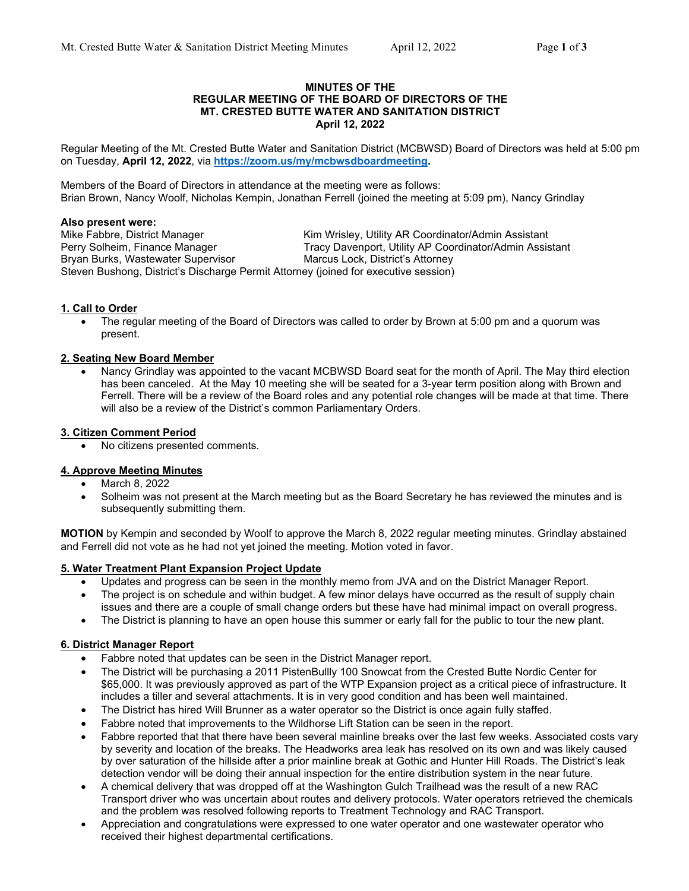### **MINUTES OF THE REGULAR MEETING OF THE BOARD OF DIRECTORS OF THE MT. CRESTED BUTTE WATER AND SANITATION DISTRICT April 12, 2022**

Regular Meeting of the Mt. Crested Butte Water and Sanitation District (MCBWSD) Board of Directors was held at 5:00 pm on Tuesday, **April 12, 2022**, via **https://zoom.us/my/mcbwsdboardmeeting.**

Members of the Board of Directors in attendance at the meeting were as follows: Brian Brown, Nancy Woolf, Nicholas Kempin, Jonathan Ferrell (joined the meeting at 5:09 pm), Nancy Grindlay

#### **Also present were:**

Bryan Burks, Wastewater Supervisor Marcus Lock, District's Attorney Steven Bushong, District's Discharge Permit Attorney (joined for executive session)

Mike Fabbre, District Manager Kim Wrisley, Utility AR Coordinator/Admin Assistant Perry Solheim, Finance Manager Tracy Davenport, Utility AP Coordinator/Admin Assistant

### **1. Call to Order**

 The regular meeting of the Board of Directors was called to order by Brown at 5:00 pm and a quorum was present.

### **2. Seating New Board Member**

 Nancy Grindlay was appointed to the vacant MCBWSD Board seat for the month of April. The May third election has been canceled. At the May 10 meeting she will be seated for a 3-year term position along with Brown and Ferrell. There will be a review of the Board roles and any potential role changes will be made at that time. There will also be a review of the District's common Parliamentary Orders.

### **3. Citizen Comment Period**

No citizens presented comments.

# **4. Approve Meeting Minutes**

- March 8, 2022
- Solheim was not present at the March meeting but as the Board Secretary he has reviewed the minutes and is subsequently submitting them.

**MOTION** by Kempin and seconded by Woolf to approve the March 8, 2022 regular meeting minutes. Grindlay abstained and Ferrell did not vote as he had not yet joined the meeting. Motion voted in favor.

#### **5. Water Treatment Plant Expansion Project Update**

- Updates and progress can be seen in the monthly memo from JVA and on the District Manager Report.
- The project is on schedule and within budget. A few minor delays have occurred as the result of supply chain issues and there are a couple of small change orders but these have had minimal impact on overall progress.
- The District is planning to have an open house this summer or early fall for the public to tour the new plant.

# **6. District Manager Report**

- Fabbre noted that updates can be seen in the District Manager report.
- The District will be purchasing a 2011 PistenBullly 100 Snowcat from the Crested Butte Nordic Center for \$65,000. It was previously approved as part of the WTP Expansion project as a critical piece of infrastructure. It includes a tiller and several attachments. It is in very good condition and has been well maintained.
- The District has hired Will Brunner as a water operator so the District is once again fully staffed.
- Fabbre noted that improvements to the Wildhorse Lift Station can be seen in the report.
- Fabbre reported that that there have been several mainline breaks over the last few weeks. Associated costs vary by severity and location of the breaks. The Headworks area leak has resolved on its own and was likely caused by over saturation of the hillside after a prior mainline break at Gothic and Hunter Hill Roads. The District's leak detection vendor will be doing their annual inspection for the entire distribution system in the near future.
- A chemical delivery that was dropped off at the Washington Gulch Trailhead was the result of a new RAC Transport driver who was uncertain about routes and delivery protocols. Water operators retrieved the chemicals and the problem was resolved following reports to Treatment Technology and RAC Transport.
- Appreciation and congratulations were expressed to one water operator and one wastewater operator who received their highest departmental certifications.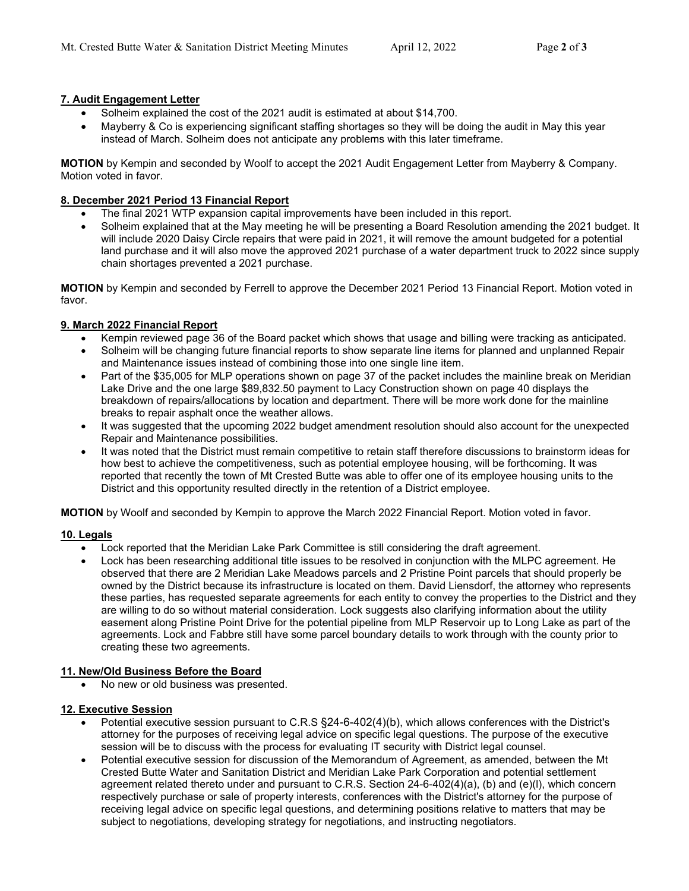# **7. Audit Engagement Letter**

- Solheim explained the cost of the 2021 audit is estimated at about \$14,700.
- Mayberry & Co is experiencing significant staffing shortages so they will be doing the audit in May this year instead of March. Solheim does not anticipate any problems with this later timeframe.

**MOTION** by Kempin and seconded by Woolf to accept the 2021 Audit Engagement Letter from Mayberry & Company. Motion voted in favor.

# **8. December 2021 Period 13 Financial Report**

- The final 2021 WTP expansion capital improvements have been included in this report.
- Solheim explained that at the May meeting he will be presenting a Board Resolution amending the 2021 budget. It will include 2020 Daisy Circle repairs that were paid in 2021, it will remove the amount budgeted for a potential land purchase and it will also move the approved 2021 purchase of a water department truck to 2022 since supply chain shortages prevented a 2021 purchase.

**MOTION** by Kempin and seconded by Ferrell to approve the December 2021 Period 13 Financial Report. Motion voted in favor.

# **9. March 2022 Financial Report**

- Kempin reviewed page 36 of the Board packet which shows that usage and billing were tracking as anticipated.
- Solheim will be changing future financial reports to show separate line items for planned and unplanned Repair and Maintenance issues instead of combining those into one single line item.
- Part of the \$35,005 for MLP operations shown on page 37 of the packet includes the mainline break on Meridian Lake Drive and the one large \$89,832.50 payment to Lacy Construction shown on page 40 displays the breakdown of repairs/allocations by location and department. There will be more work done for the mainline breaks to repair asphalt once the weather allows.
- It was suggested that the upcoming 2022 budget amendment resolution should also account for the unexpected Repair and Maintenance possibilities.
- It was noted that the District must remain competitive to retain staff therefore discussions to brainstorm ideas for how best to achieve the competitiveness, such as potential employee housing, will be forthcoming. It was reported that recently the town of Mt Crested Butte was able to offer one of its employee housing units to the District and this opportunity resulted directly in the retention of a District employee.

**MOTION** by Woolf and seconded by Kempin to approve the March 2022 Financial Report. Motion voted in favor.

# **10. Legals**

- Lock reported that the Meridian Lake Park Committee is still considering the draft agreement.
- Lock has been researching additional title issues to be resolved in conjunction with the MLPC agreement. He observed that there are 2 Meridian Lake Meadows parcels and 2 Pristine Point parcels that should properly be owned by the District because its infrastructure is located on them. David Liensdorf, the attorney who represents these parties, has requested separate agreements for each entity to convey the properties to the District and they are willing to do so without material consideration. Lock suggests also clarifying information about the utility easement along Pristine Point Drive for the potential pipeline from MLP Reservoir up to Long Lake as part of the agreements. Lock and Fabbre still have some parcel boundary details to work through with the county prior to creating these two agreements.

# **11. New/Old Business Before the Board**

No new or old business was presented.

# **12. Executive Session**

- Potential executive session pursuant to C.R.S §24-6-402(4)(b), which allows conferences with the District's attorney for the purposes of receiving legal advice on specific legal questions. The purpose of the executive session will be to discuss with the process for evaluating IT security with District legal counsel.
- Potential executive session for discussion of the Memorandum of Agreement, as amended, between the Mt Crested Butte Water and Sanitation District and Meridian Lake Park Corporation and potential settlement agreement related thereto under and pursuant to C.R.S. Section 24-6-402(4)(a), (b) and (e)(l), which concern respectively purchase or sale of property interests, conferences with the District's attorney for the purpose of receiving legal advice on specific legal questions, and determining positions relative to matters that may be subject to negotiations, developing strategy for negotiations, and instructing negotiators.